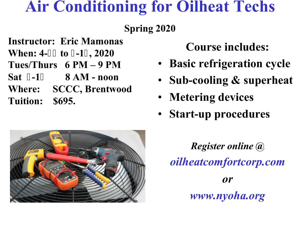## **Air Conditioning for Oilheat Techs**

## **Spring 2020**

**Instructor: Eric Mamonas** 

**When: 4- to -1, 2020** 

**Tues/Thurs 6 PM – 9 PM** 

**Sat -1 8 AM - noon** 

**Where: SCCC, Brentwood Tuition: \$695.** 

**Course includes:** 

- **Basic refrigeration cycle**
- **Sub-cooling & superheat**
- **Metering devices**
- **Start-up procedures**

*Register online @ oilheatcomfortcorp.com or www.nyoha.org*